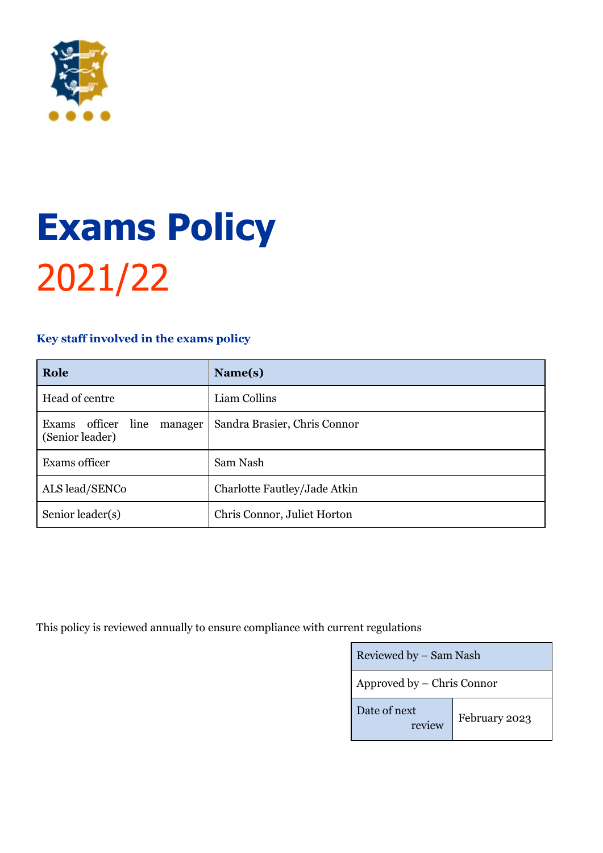

# **Exams Policy** 2021/22

# <span id="page-0-0"></span>**Key staff involved in the exams policy**

| Role                                                | Name(s)                      |
|-----------------------------------------------------|------------------------------|
| Head of centre                                      | Liam Collins                 |
| line<br>Exams officer<br>manager<br>(Senior leader) | Sandra Brasier, Chris Connor |
| Exams officer                                       | Sam Nash                     |
| ALS lead/SENCo                                      | Charlotte Fautley/Jade Atkin |
| Senior leader(s)                                    | Chris Connor, Juliet Horton  |

This policy is reviewed annually to ensure compliance with current regulations

| Reviewed by – Sam Nash     |               |  |
|----------------------------|---------------|--|
| Approved by – Chris Connor |               |  |
| Date of next<br>review     | February 2023 |  |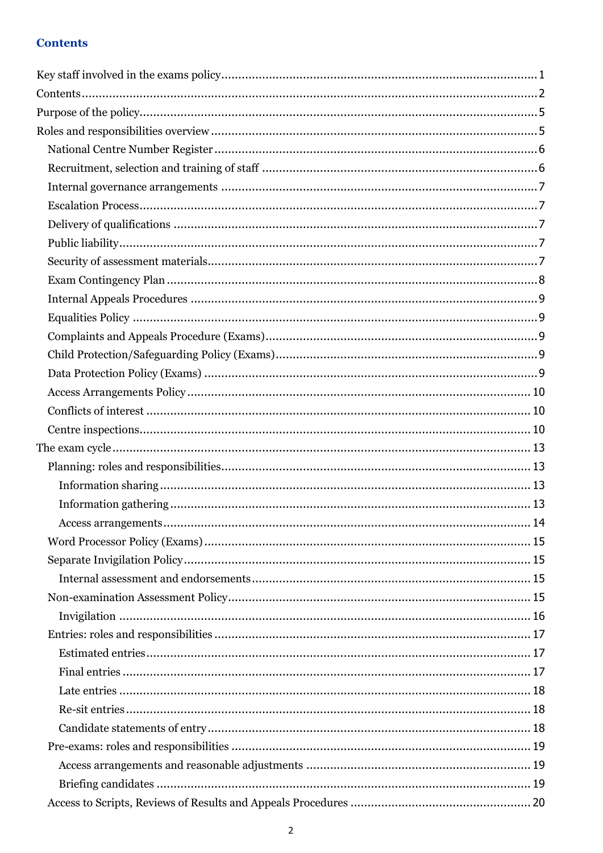# <span id="page-1-0"></span>**Contents**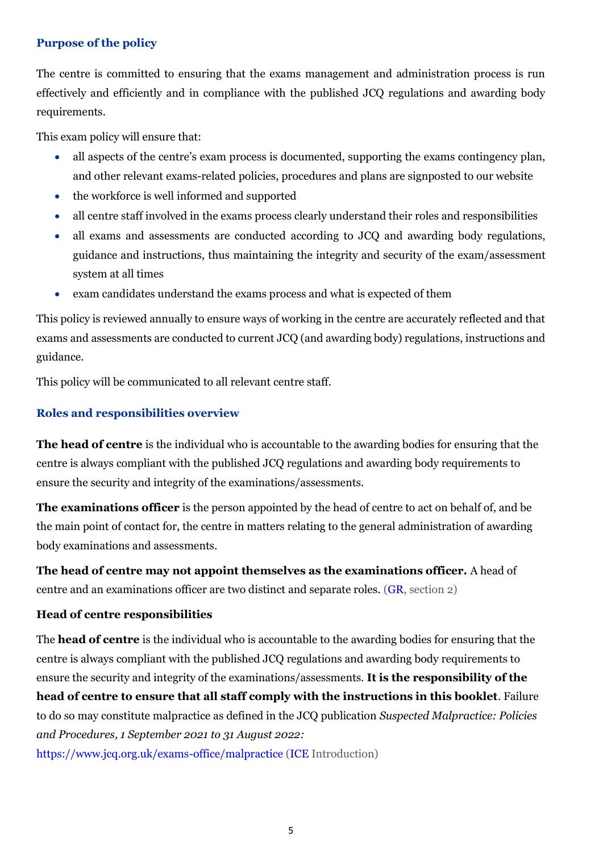## <span id="page-4-0"></span>**Purpose of the policy**

The centre is committed to ensuring that the exams management and administration process is run effectively and efficiently and in compliance with the published JCQ regulations and awarding body requirements.

This exam policy will ensure that:

- all aspects of the centre's exam process is documented, supporting the exams contingency plan, and other relevant exams-related policies, procedures and plans are signposted to our website
- the workforce is well informed and supported
- all centre staff involved in the exams process clearly understand their roles and responsibilities
- all exams and assessments are conducted according to JCQ and awarding body regulations, guidance and instructions, thus maintaining the integrity and security of the exam/assessment system at all times
- exam candidates understand the exams process and what is expected of them

This policy is reviewed annually to ensure ways of working in the centre are accurately reflected and that exams and assessments are conducted to current JCQ (and awarding body) regulations, instructions and guidance.

This policy will be communicated to all relevant centre staff.

## <span id="page-4-1"></span>**Roles and responsibilities overview**

**The head of centre** is the individual who is accountable to the awarding bodies for ensuring that the centre is always compliant with the published JCQ regulations and awarding body requirements to ensure the security and integrity of the examinations/assessments.

**The examinations officer** is the person appointed by the head of centre to act on behalf of, and be the main point of contact for, the centre in matters relating to the general administration of awarding body examinations and assessments.

**The head of centre may not appoint themselves as the examinations officer.** A head of centre and an examinations officer are two distinct and separate roles. [\(GR,](http://www.jcq.org.uk/exams-office/general-regulations) section 2)

#### **Head of centre responsibilities**

The **head of centre** is the individual who is accountable to the awarding bodies for ensuring that the centre is always compliant with the published JCQ regulations and awarding body requirements to ensure the security and integrity of the examinations/assessments. **It is the responsibility of the head of centre to ensure that all staff comply with the instructions in this booklet**. Failure to do so may constitute malpractice as defined in the JCQ publication *Suspected Malpractice: Policies and Procedures, 1 September 2021 to 31 August 2022:* 

<https://www.jcq.org.uk/exams-office/malpractice> [\(ICE](http://www.jcq.org.uk/exams-office/ice---instructions-for-conducting-examinations) Introduction)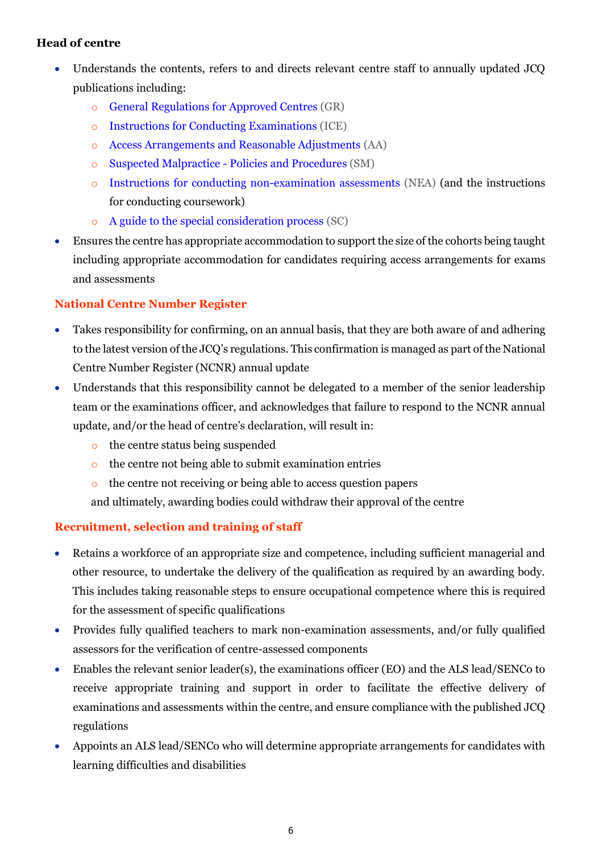# **Head of centre**

- Understands the contents, refers to and directs relevant centre staff to annually updated JCQ publications including:
	- o [General Regulations for Approved Centres](http://www.jcq.org.uk/exams-office/general-regulations) (GR)
	- o [Instructions for Conducting Examinations](http://www.jcq.org.uk/exams-office/ice---instructions-for-conducting-examinations) (ICE)
	- o [Access Arrangements and Reasonable Adjustments](http://www.jcq.org.uk/exams-office/access-arrangements-and-special-consideration/regulations-and-guidance) (AA)
	- o [Suspected Malpractice -](http://www.jcq.org.uk/exams-office/malpractice) Policies and Procedures (SM)
	- o [Instructions for conducting non-examination assessments](http://www.jcq.org.uk/exams-office/non-examination-assessments) (NEA) (and the instructions for conducting coursework)
	- o [A guide to the special consideration process](http://www.jcq.org.uk/exams-office/access-arrangements-and-special-consideration/regulations-and-guidance) (SC)
- Ensures the centre has appropriate accommodation to support the size of the cohorts being taught including appropriate accommodation for candidates requiring access arrangements for exams and assessments

# <span id="page-5-0"></span>**National Centre Number Register**

- Takes responsibility for confirming, on an annual basis, that they are both aware of and adhering to the latest version of the JCQ's regulations. This confirmation is managed as part of the National Centre Number Register (NCNR) annual update
- Understands that this responsibility cannot be delegated to a member of the senior leadership team or the examinations officer, and acknowledges that failure to respond to the NCNR annual update, and/or the head of centre's declaration, will result in:
	- o the centre status being suspended
	- o the centre not being able to submit examination entries
	- o the centre not receiving or being able to access question papers
	- and ultimately, awarding bodies could withdraw their approval of the centre

# <span id="page-5-1"></span>**Recruitment, selection and training of staff**

- Retains a workforce of an appropriate size and competence, including sufficient managerial and other resource, to undertake the delivery of the qualification as required by an awarding body. This includes taking reasonable steps to ensure occupational competence where this is required for the assessment of specific qualifications
- Provides fully qualified teachers to mark non-examination assessments, and/or fully qualified assessors for the verification of centre-assessed components
- Enables the relevant senior leader(s), the examinations officer (EO) and the ALS lead/SENCo to receive appropriate training and support in order to facilitate the effective delivery of examinations and assessments within the centre, and ensure compliance with the published JCQ regulations
- Appoints an ALS lead/SENCo who will determine appropriate arrangements for candidates with learning difficulties and disabilities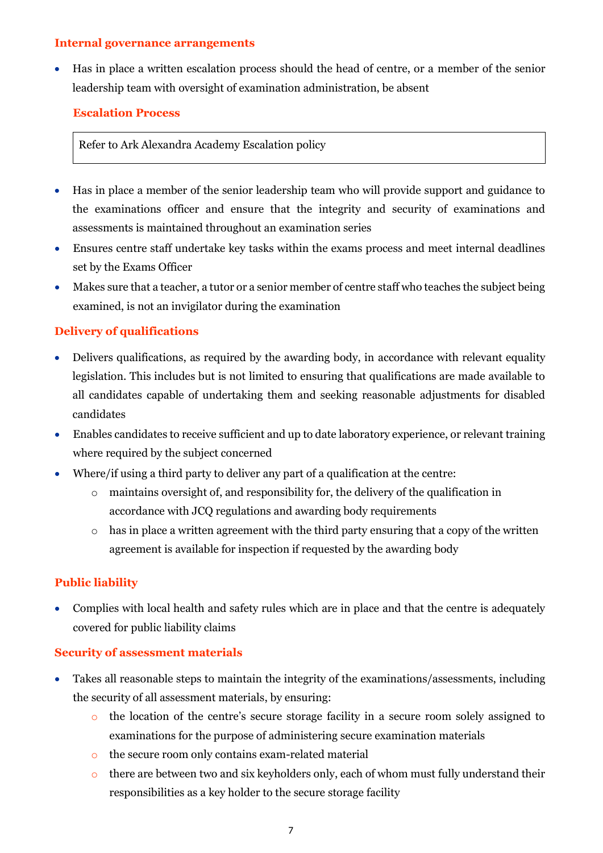#### <span id="page-6-0"></span>**Internal governance arrangements**

• Has in place a written escalation process should the head of centre, or a member of the senior leadership team with oversight of examination administration, be absent

# <span id="page-6-1"></span>**Escalation Process**

# Refer to Ark Alexandra Academy Escalation policy

- Has in place a member of the senior leadership team who will provide support and guidance to the examinations officer and ensure that the integrity and security of examinations and assessments is maintained throughout an examination series
- Ensures centre staff undertake key tasks within the exams process and meet internal deadlines set by the Exams Officer
- Makes sure that a teacher, a tutor or a senior member of centre staff who teaches the subject being examined, is not an invigilator during the examination

# <span id="page-6-2"></span>**Delivery of qualifications**

- Delivers qualifications, as required by the awarding body, in accordance with relevant equality legislation. This includes but is not limited to ensuring that qualifications are made available to all candidates capable of undertaking them and seeking reasonable adjustments for disabled candidates
- Enables candidates to receive sufficient and up to date laboratory experience, or relevant training where required by the subject concerned
- Where/if using a third party to deliver any part of a qualification at the centre:
	- o maintains oversight of, and responsibility for, the delivery of the qualification in accordance with JCQ regulations and awarding body requirements
	- $\circ$  has in place a written agreement with the third party ensuring that a copy of the written agreement is available for inspection if requested by the awarding body

# <span id="page-6-3"></span>**Public liability**

• Complies with local health and safety rules which are in place and that the centre is adequately covered for public liability claims

# <span id="page-6-4"></span>**Security of assessment materials**

- Takes all reasonable steps to maintain the integrity of the examinations/assessments, including the security of all assessment materials, by ensuring:
	- o the location of the centre's secure storage facility in a secure room solely assigned to examinations for the purpose of administering secure examination materials
	- o the secure room only contains exam-related material
	- $\circ$  there are between two and six keyholders only, each of whom must fully understand their responsibilities as a key holder to the secure storage facility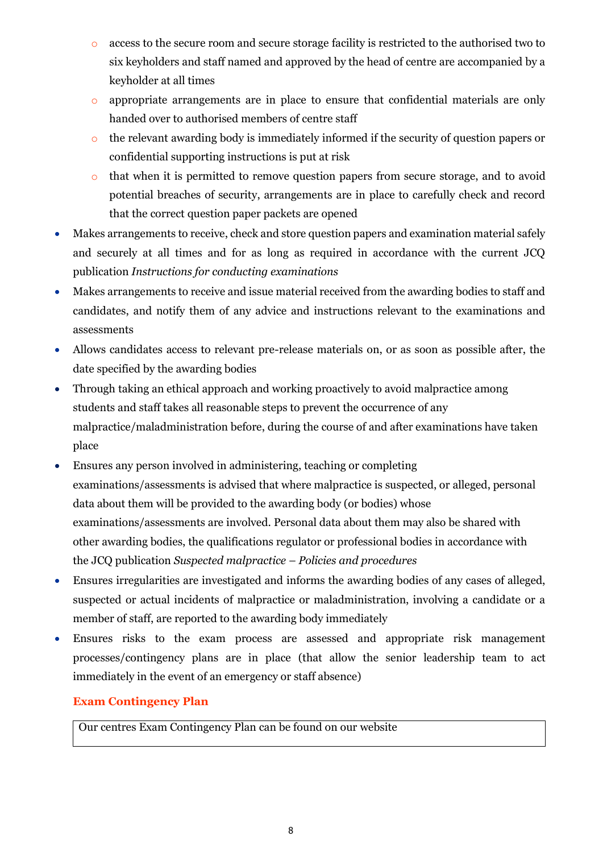- o access to the secure room and secure storage facility is restricted to the authorised two to six keyholders and staff named and approved by the head of centre are accompanied by a keyholder at all times
- o appropriate arrangements are in place to ensure that confidential materials are only handed over to authorised members of centre staff
- o the relevant awarding body is immediately informed if the security of question papers or confidential supporting instructions is put at risk
- o that when it is permitted to remove question papers from secure storage, and to avoid potential breaches of security, arrangements are in place to carefully check and record that the correct question paper packets are opened
- Makes arrangements to receive, check and store question papers and examination material safely and securely at all times and for as long as required in accordance with the current JCQ publication *Instructions for conducting examinations*
- Makes arrangements to receive and issue material received from the awarding bodies to staff and candidates, and notify them of any advice and instructions relevant to the examinations and assessments
- Allows candidates access to relevant pre-release materials on, or as soon as possible after, the date specified by the awarding bodies
- Through taking an ethical approach and working proactively to avoid malpractice among students and staff takes all reasonable steps to prevent the occurrence of any malpractice/maladministration before, during the course of and after examinations have taken place
- Ensures any person involved in administering, teaching or completing examinations/assessments is advised that where malpractice is suspected, or alleged, personal data about them will be provided to the awarding body (or bodies) whose examinations/assessments are involved. Personal data about them may also be shared with other awarding bodies, the qualifications regulator or professional bodies in accordance with the JCQ publication *Suspected malpractice – Policies and procedures*
- Ensures irregularities are investigated and informs the awarding bodies of any cases of alleged, suspected or actual incidents of malpractice or maladministration, involving a candidate or a member of staff, are reported to the awarding body immediately
- Ensures risks to the exam process are assessed and appropriate risk management processes/contingency plans are in place (that allow the senior leadership team to act immediately in the event of an emergency or staff absence)

# <span id="page-7-0"></span>**Exam Contingency Plan**

Our centres Exam Contingency Plan can be found on our website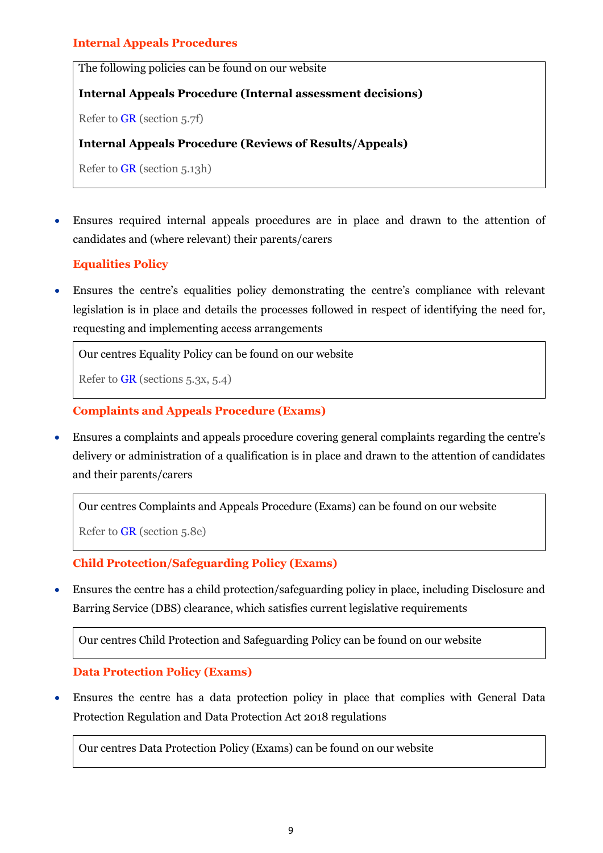# <span id="page-8-0"></span>**Internal Appeals Procedures**

The following policies can be found on our website

## **Internal Appeals Procedure (Internal assessment decisions)**

Refer to [GR](http://www.jcq.org.uk/exams-office/general-regulations) (section 5.7f)

#### **Internal Appeals Procedure (Reviews of Results/Appeals)**

Refer to [GR](http://www.jcq.org.uk/exams-office/general-regulations) (section 5.13h)

• Ensures required internal appeals procedures are in place and drawn to the attention of candidates and (where relevant) their parents/carers

# **Equalities Policy**

<span id="page-8-1"></span>• Ensures the centre's equalities policy demonstrating the centre's compliance with relevant legislation is in place and details the processes followed in respect of identifying the need for, requesting and implementing access arrangements

Our centres Equality Policy can be found on our website

Refer to [GR](http://www.jcq.org.uk/exams-office/general-regulations) (sections 5.3x, 5.4)

# **Complaints and Appeals Procedure (Exams)**

<span id="page-8-2"></span>• Ensures a complaints and appeals procedure covering general complaints regarding the centre's delivery or administration of a qualification is in place and drawn to the attention of candidates and their parents/carers

```
Our centres Complaints and Appeals Procedure (Exams) can be found on our website
```
Refer to [GR](http://www.jcq.org.uk/exams-office/general-regulations) (section 5.8e)

# **Child Protection/Safeguarding Policy (Exams)**

<span id="page-8-3"></span>• Ensures the centre has a child protection/safeguarding policy in place, including Disclosure and Barring Service (DBS) clearance, which satisfies current legislative requirements

Our centres Child Protection and Safeguarding Policy can be found on our website

#### <span id="page-8-4"></span>**Data Protection Policy (Exams)**

• Ensures the centre has a data protection policy in place that complies with General Data Protection Regulation and Data Protection Act 2018 regulations

Our centres Data Protection Policy (Exams) can be found on our website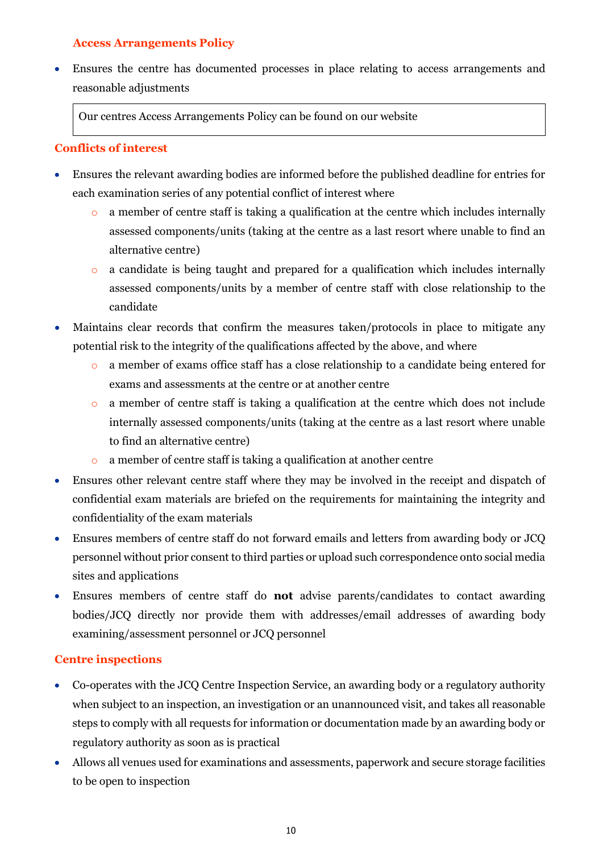# **Access Arrangements Policy**

<span id="page-9-0"></span>• Ensures the centre has documented processes in place relating to access arrangements and reasonable adjustments

Our centres Access Arrangements Policy can be found on our website

# <span id="page-9-1"></span>**Conflicts of interest**

- Ensures the relevant awarding bodies are informed before the published deadline for entries for each examination series of any potential conflict of interest where
	- o a member of centre staff is taking a qualification at the centre which includes internally assessed components/units (taking at the centre as a last resort where unable to find an alternative centre)
	- o a candidate is being taught and prepared for a qualification which includes internally assessed components/units by a member of centre staff with close relationship to the candidate
- Maintains clear records that confirm the measures taken/protocols in place to mitigate any potential risk to the integrity of the qualifications affected by the above, and where
	- o a member of exams office staff has a close relationship to a candidate being entered for exams and assessments at the centre or at another centre
	- o a member of centre staff is taking a qualification at the centre which does not include internally assessed components/units (taking at the centre as a last resort where unable to find an alternative centre)
	- o a member of centre staff is taking a qualification at another centre
- Ensures other relevant centre staff where they may be involved in the receipt and dispatch of confidential exam materials are briefed on the requirements for maintaining the integrity and confidentiality of the exam materials
- Ensures members of centre staff do not forward emails and letters from awarding body or JCQ personnel without prior consent to third parties or upload such correspondence onto social media sites and applications
- Ensures members of centre staff do **not** advise parents/candidates to contact awarding bodies/JCQ directly nor provide them with addresses/email addresses of awarding body examining/assessment personnel or JCQ personnel

# <span id="page-9-2"></span>**Centre inspections**

- Co-operates with the JCQ Centre Inspection Service, an awarding body or a regulatory authority when subject to an inspection, an investigation or an unannounced visit, and takes all reasonable steps to comply with all requests for information or documentation made by an awarding body or regulatory authority as soon as is practical
- Allows all venues used for examinations and assessments, paperwork and secure storage facilities to be open to inspection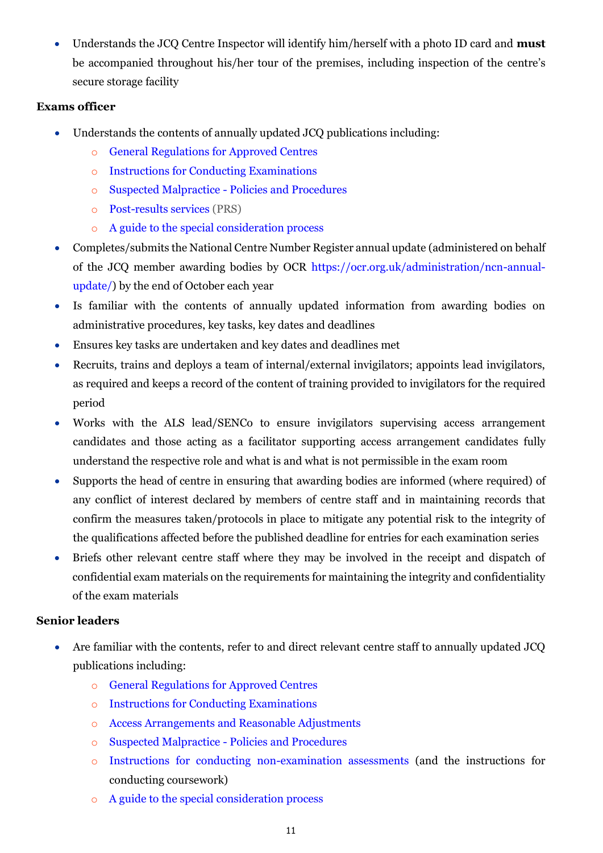• Understands the JCQ Centre Inspector will identify him/herself with a photo ID card and **must**  be accompanied throughout his/her tour of the premises, including inspection of the centre's secure storage facility

# **Exams officer**

- Understands the contents of annually updated JCQ publications including:
	- o [General Regulations for Approved Centres](http://www.jcq.org.uk/exams-office/general-regulations)
	- o [Instructions for Conducting Examinations](http://www.jcq.org.uk/exams-office/ice---instructions-for-conducting-examinations)
	- o [Suspected Malpractice -](http://www.jcq.org.uk/exams-office/malpractice) Policies and Procedures
	- o [Post-results services](http://www.jcq.org.uk/exams-office/post-results-services) (PRS)
	- o [A guide to the special consideration process](https://www.jcq.org.uk/exams-office/access-arrangements-and-special-consideration/regulations-and-guidance/)
- Completes/submits the National Centre Number Register annual update (administered on behalf of the JCQ member awarding bodies by OCR [https://ocr.org.uk/administration/ncn-annual](https://ocr.org.uk/administration/ncn-annual-update/)[update/\)](https://ocr.org.uk/administration/ncn-annual-update/) by the end of October each year
- Is familiar with the contents of annually updated information from awarding bodies on administrative procedures, key tasks, key dates and deadlines
- Ensures key tasks are undertaken and key dates and deadlines met
- Recruits, trains and deploys a team of internal/external invigilators; appoints lead invigilators, as required and keeps a record of the content of training provided to invigilators for the required period
- Works with the ALS lead/SENCo to ensure invigilators supervising access arrangement candidates and those acting as a facilitator supporting access arrangement candidates fully understand the respective role and what is and what is not permissible in the exam room
- Supports the head of centre in ensuring that awarding bodies are informed (where required) of any conflict of interest declared by members of centre staff and in maintaining records that confirm the measures taken/protocols in place to mitigate any potential risk to the integrity of the qualifications affected before the published deadline for entries for each examination series
- Briefs other relevant centre staff where they may be involved in the receipt and dispatch of confidential exam materials on the requirements for maintaining the integrity and confidentiality of the exam materials

# **Senior leaders**

- Are familiar with the contents, refer to and direct relevant centre staff to annually updated JCQ publications including:
	- o [General Regulations for Approved Centres](http://www.jcq.org.uk/exams-office/general-regulations)
	- o [Instructions for Conducting Examinations](http://www.jcq.org.uk/exams-office/ice---instructions-for-conducting-examinations)
	- o [Access Arrangements and Reasonable Adjustments](http://www.jcq.org.uk/exams-office/access-arrangements-and-special-consideration/regulations-and-guidance)
	- o [Suspected Malpractice -](http://www.jcq.org.uk/exams-office/malpractice) Policies and Procedures
	- o [Instructions for conducting non-examination assessments](http://www.jcq.org.uk/exams-office/non-examination-assessments) (and the instructions for conducting coursework)
	- o [A guide to the special consideration process](http://www.jcq.org.uk/exams-office/access-arrangements-and-special-consideration/regulations-and-guidance)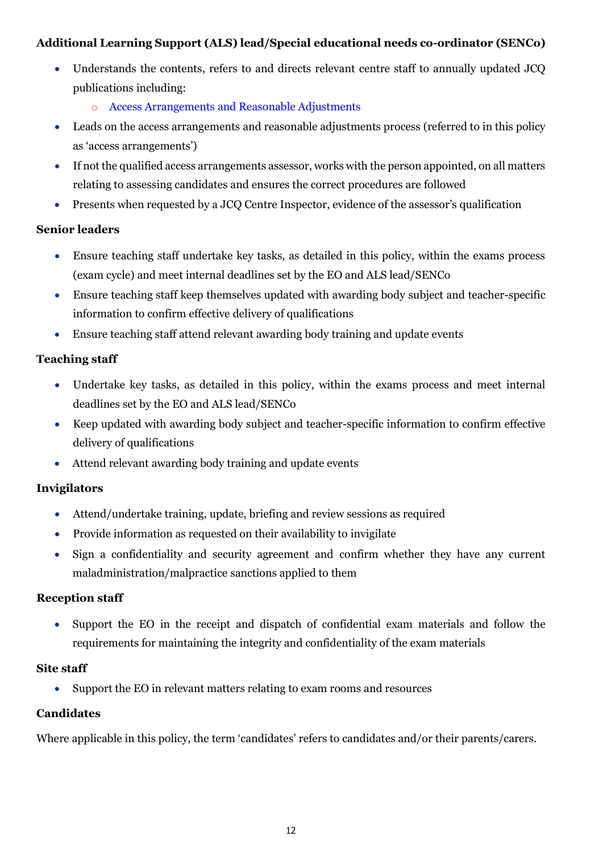# **Additional Learning Support (ALS) lead/Special educational needs co-ordinator (SENCo)**

- Understands the contents, refers to and directs relevant centre staff to annually updated JCQ publications including:
	- o [Access Arrangements and Reasonable Adjustments](http://www.jcq.org.uk/exams-office/access-arrangements-and-special-consideration/regulations-and-guidance)
- Leads on the access arrangements and reasonable adjustments process (referred to in this policy as 'access arrangements')
- If not the qualified access arrangements assessor, works with the person appointed, on all matters relating to assessing candidates and ensures the correct procedures are followed
- Presents when requested by a JCQ Centre Inspector, evidence of the assessor's qualification

# **Senior leaders**

- Ensure teaching staff undertake key tasks, as detailed in this policy, within the exams process (exam cycle) and meet internal deadlines set by the EO and ALS lead/SENCo
- Ensure teaching staff keep themselves updated with awarding body subject and teacher-specific information to confirm effective delivery of qualifications
- Ensure teaching staff attend relevant awarding body training and update events

# **Teaching staff**

- Undertake key tasks, as detailed in this policy, within the exams process and meet internal deadlines set by the EO and ALS lead/SENCo
- Keep updated with awarding body subject and teacher-specific information to confirm effective delivery of qualifications
- Attend relevant awarding body training and update events

# **Invigilators**

- Attend/undertake training, update, briefing and review sessions as required
- Provide information as requested on their availability to invigilate
- Sign a confidentiality and security agreement and confirm whether they have any current maladministration/malpractice sanctions applied to them

# **Reception staff**

• Support the EO in the receipt and dispatch of confidential exam materials and follow the requirements for maintaining the integrity and confidentiality of the exam materials

# **Site staff**

• Support the EO in relevant matters relating to exam rooms and resources

# **Candidates**

Where applicable in this policy, the term 'candidates' refers to candidates and/or their parents/carers.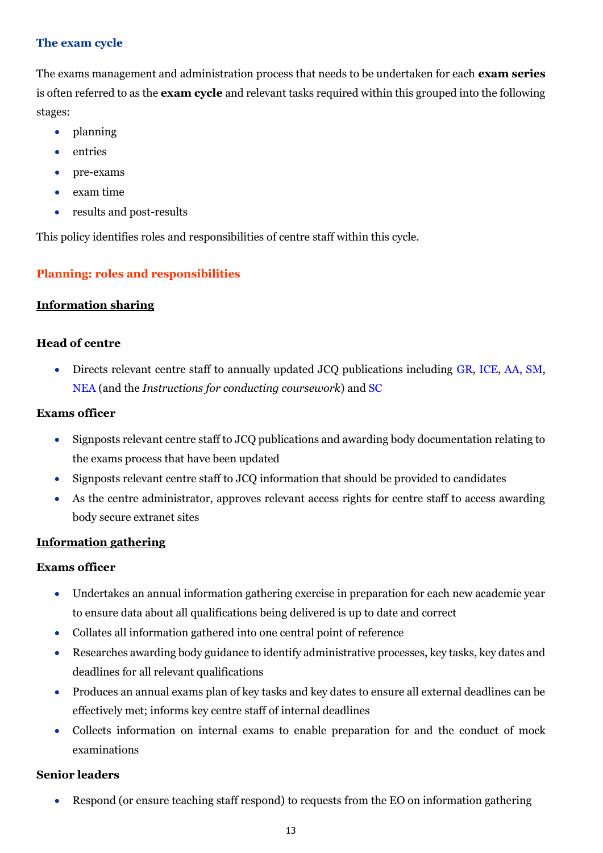# <span id="page-12-0"></span>**The exam cycle**

The exams management and administration process that needs to be undertaken for each **exam series** is often referred to as the **exam cycle** and relevant tasks required within this grouped into the following stages:

- planning
- entries
- pre-exams
- exam time
- results and post-results

This policy identifies roles and responsibilities of centre staff within this cycle.

# <span id="page-12-1"></span>**Planning: roles and responsibilities**

# <span id="page-12-2"></span>**Information sharing**

# **Head of centre**

• Directs relevant centre staff to annually updated JCQ publications including [GR,](http://www.jcq.org.uk/exams-office/general-regulations) [ICE,](http://www.jcq.org.uk/exams-office/ice---instructions-for-conducting-examinations) [AA,](http://www.jcq.org.uk/exams-office/access-arrangements-and-special-consideration) [SM,](http://www.jcq.org.uk/exams-office/malpractice) [NEA](http://www.jcq.org.uk/exams-office/non-examination-assessments) (and the *Instructions for conducting coursework*) and [SC](http://www.jcq.org.uk/exams-office/access-arrangements-and-special-consideration/regulations-and-guidance)

# **Exams officer**

- Signposts relevant centre staff to JCQ publications and awarding body documentation relating to the exams process that have been updated
- Signposts relevant centre staff to JCQ information that should be provided to candidates
- As the centre administrator, approves relevant access rights for centre staff to access awarding body secure extranet sites

# <span id="page-12-3"></span>**Information gathering**

# **Exams officer**

- Undertakes an annual information gathering exercise in preparation for each new academic year to ensure data about all qualifications being delivered is up to date and correct
- Collates all information gathered into one central point of reference
- Researches awarding body guidance to identify administrative processes, key tasks, key dates and deadlines for all relevant qualifications
- Produces an annual exams plan of key tasks and key dates to ensure all external deadlines can be effectively met; informs key centre staff of internal deadlines
- Collects information on internal exams to enable preparation for and the conduct of mock examinations

# **Senior leaders**

• Respond (or ensure teaching staff respond) to requests from the EO on information gathering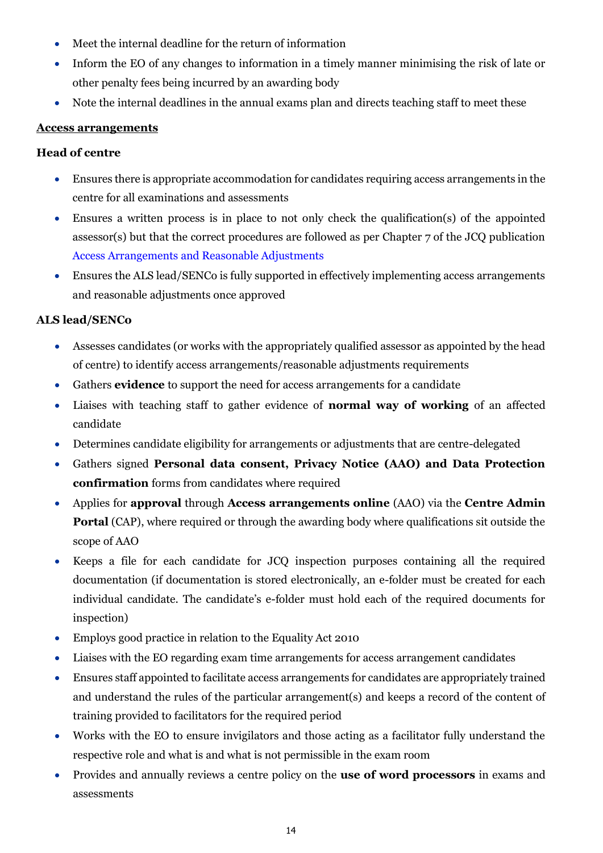- Meet the internal deadline for the return of information
- Inform the EO of any changes to information in a timely manner minimising the risk of late or other penalty fees being incurred by an awarding body
- Note the internal deadlines in the annual exams plan and directs teaching staff to meet these

# <span id="page-13-0"></span>**Access arrangements**

## **Head of centre**

- Ensures there is appropriate accommodation for candidates requiring access arrangements in the centre for all examinations and assessments
- Ensures a written process is in place to not only check the qualification(s) of the appointed assessor(s) but that the correct procedures are followed as per Chapter 7 of the JCQ publication [Access Arrangements and Reasonable Adjustments](http://www.jcq.org.uk/exams-office/access-arrangements-and-special-consideration/regulations-and-guidance)
- Ensures the ALS lead/SENCo is fully supported in effectively implementing access arrangements and reasonable adjustments once approved

# **ALS lead/SENCo**

- Assesses candidates (or works with the appropriately qualified assessor as appointed by the head of centre) to identify access arrangements/reasonable adjustments requirements
- Gathers **evidence** to support the need for access arrangements for a candidate
- Liaises with teaching staff to gather evidence of **normal way of working** of an affected candidate
- Determines candidate eligibility for arrangements or adjustments that are centre-delegated
- Gathers signed **Personal data consent, Privacy Notice (AAO) and Data Protection confirmation** forms from candidates where required
- Applies for **approval** through **Access arrangements online** (AAO) via the **Centre Admin Portal** (CAP), where required or through the awarding body where qualifications sit outside the scope of AAO
- Keeps a file for each candidate for JCQ inspection purposes containing all the required documentation (if documentation is stored electronically, an e-folder must be created for each individual candidate. The candidate's e-folder must hold each of the required documents for inspection)
- Employs good practice in relation to the Equality Act 2010
- Liaises with the EO regarding exam time arrangements for access arrangement candidates
- Ensures staff appointed to facilitate access arrangements for candidates are appropriately trained and understand the rules of the particular arrangement(s) and keeps a record of the content of training provided to facilitators for the required period
- Works with the EO to ensure invigilators and those acting as a facilitator fully understand the respective role and what is and what is not permissible in the exam room
- Provides and annually reviews a centre policy on the **use of word processors** in exams and assessments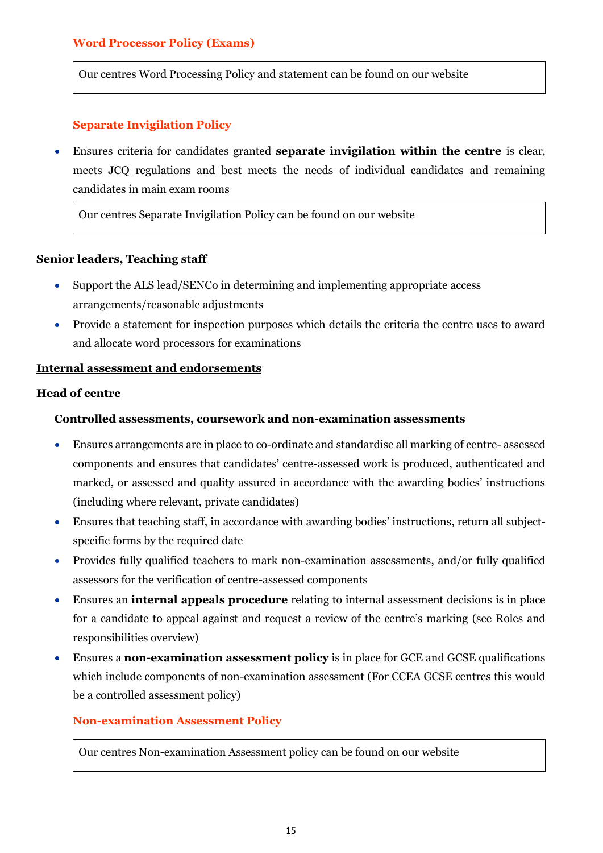## <span id="page-14-0"></span>**Word Processor Policy (Exams)**

Our centres Word Processing Policy and statement can be found on our website

## **Separate Invigilation Policy**

<span id="page-14-1"></span>• Ensures criteria for candidates granted **separate invigilation within the centre** is clear, meets JCQ regulations and best meets the needs of individual candidates and remaining candidates in main exam rooms

Our centres Separate Invigilation Policy can be found on our website

#### **Senior leaders, Teaching staff**

- Support the ALS lead/SENCo in determining and implementing appropriate access arrangements/reasonable adjustments
- Provide a statement for inspection purposes which details the criteria the centre uses to award and allocate word processors for examinations

#### <span id="page-14-2"></span>**Internal assessment and endorsements**

# **Head of centre**

#### **Controlled assessments, coursework and non-examination assessments**

- Ensures arrangements are in place to co-ordinate and standardise all marking of centre- assessed components and ensures that candidates' centre-assessed work is produced, authenticated and marked, or assessed and quality assured in accordance with the awarding bodies' instructions (including where relevant, private candidates)
- Ensures that teaching staff, in accordance with awarding bodies' instructions, return all subjectspecific forms by the required date
- Provides fully qualified teachers to mark non-examination assessments, and/or fully qualified assessors for the verification of centre-assessed components
- Ensures an **internal appeals procedure** relating to internal assessment decisions is in place for a candidate to appeal against and request a review of the centre's marking (see Roles and responsibilities overview)
- Ensures a **non-examination assessment policy** is in place for GCE and GCSE qualifications which include components of non-examination assessment (For CCEA GCSE centres this would be a controlled assessment policy)

#### <span id="page-14-3"></span>**Non-examination Assessment Policy**

Our centres Non-examination Assessment policy can be found on our website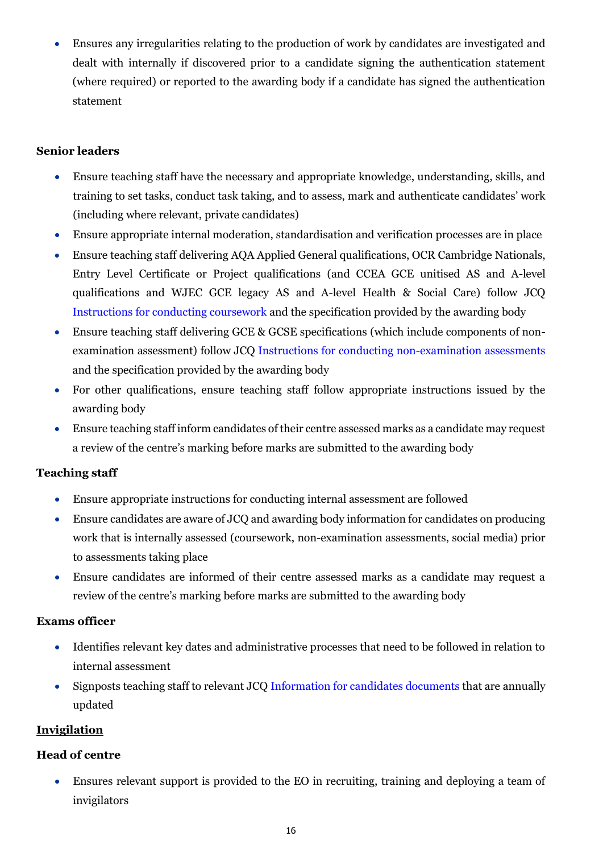• Ensures any irregularities relating to the production of work by candidates are investigated and dealt with internally if discovered prior to a candidate signing the authentication statement (where required) or reported to the awarding body if a candidate has signed the authentication statement

# **Senior leaders**

- Ensure teaching staff have the necessary and appropriate knowledge, understanding, skills, and training to set tasks, conduct task taking, and to assess, mark and authenticate candidates' work (including where relevant, private candidates)
- Ensure appropriate internal moderation, standardisation and verification processes are in place
- Ensure teaching staff delivering AQA Applied General qualifications, OCR Cambridge Nationals, Entry Level Certificate or Project qualifications (and CCEA GCE unitised AS and A-level qualifications and WJEC GCE legacy AS and A-level Health & Social Care) follow JCQ Instructions [for conducting coursework](http://www.jcq.org.uk/exams-office/coursework) and the specification provided by the awarding body
- Ensure teaching staff delivering GCE & GCSE specifications (which include components of nonexamination assessment) follow JCQ [Instructions for conducting non-examination assessments](http://www.jcq.org.uk/exams-office/non-examination-assessments) and the specification provided by the awarding body
- For other qualifications, ensure teaching staff follow appropriate instructions issued by the awarding body
- Ensure teaching staff inform candidates of their centre assessed marks as a candidate may request a review of the centre's marking before marks are submitted to the awarding body

# **Teaching staff**

- Ensure appropriate instructions for conducting internal assessment are followed
- Ensure candidates are aware of JCO and awarding body information for candidates on producing work that is internally assessed (coursework, non-examination assessments, social media) prior to assessments taking place
- Ensure candidates are informed of their centre assessed marks as a candidate may request a review of the centre's marking before marks are submitted to the awarding body

# **Exams officer**

- Identifies relevant key dates and administrative processes that need to be followed in relation to internal assessment
- Signposts teaching staff to relevant JCQ [Information for candidates documents](https://www.jcq.org.uk/exams-office/information-for-candidates-documents/) that are annually updated

# <span id="page-15-0"></span>**Invigilation**

# **Head of centre**

• Ensures relevant support is provided to the EO in recruiting, training and deploying a team of invigilators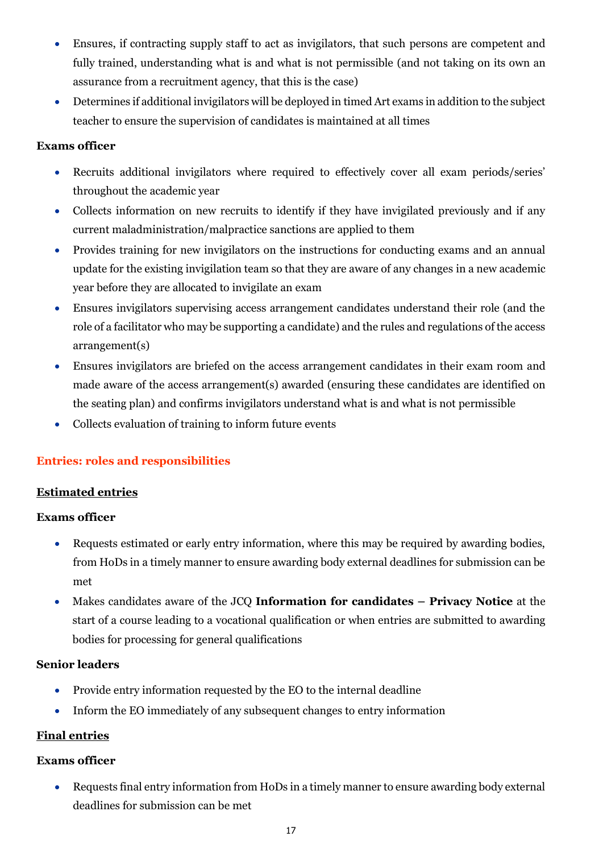- Ensures, if contracting supply staff to act as invigilators, that such persons are competent and fully trained, understanding what is and what is not permissible (and not taking on its own an assurance from a recruitment agency, that this is the case)
- Determines if additional invigilators will be deployed in timed Art exams in addition to the subject teacher to ensure the supervision of candidates is maintained at all times

# **Exams officer**

- Recruits additional invigilators where required to effectively cover all exam periods/series' throughout the academic year
- Collects information on new recruits to identify if they have invigilated previously and if any current maladministration/malpractice sanctions are applied to them
- Provides training for new invigilators on the instructions for conducting exams and an annual update for the existing invigilation team so that they are aware of any changes in a new academic year before they are allocated to invigilate an exam
- Ensures invigilators supervising access arrangement candidates understand their role (and the role of a facilitator who may be supporting a candidate) and the rules and regulations of the access arrangement(s)
- Ensures invigilators are briefed on the access arrangement candidates in their exam room and made aware of the access arrangement(s) awarded (ensuring these candidates are identified on the seating plan) and confirms invigilators understand what is and what is not permissible
- Collects evaluation of training to inform future events

# <span id="page-16-0"></span>**Entries: roles and responsibilities**

# <span id="page-16-1"></span>**Estimated entries**

# **Exams officer**

- Requests estimated or early entry information, where this may be required by awarding bodies, from HoDs in a timely manner to ensure awarding body external deadlines for submission can be met
- Makes candidates aware of the JCQ **Information for candidates – Privacy Notice** at the start of a course leading to a vocational qualification or when entries are submitted to awarding bodies for processing for general qualifications

# **Senior leaders**

- Provide entry information requested by the EO to the internal deadline
- Inform the EO immediately of any subsequent changes to entry information

# <span id="page-16-2"></span>**Final entries**

# **Exams officer**

• Requests final entry information from HoDs in a timely manner to ensure awarding body external deadlines for submission can be met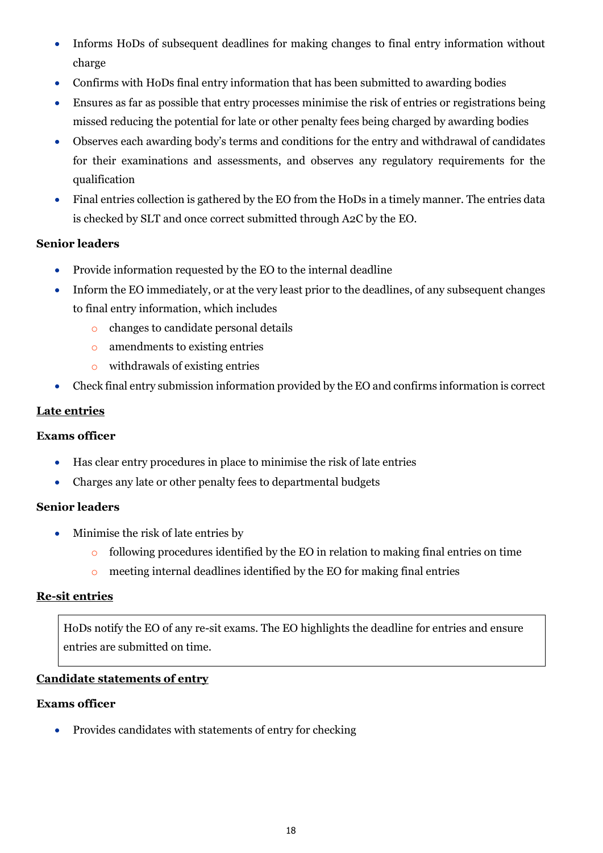- Informs HoDs of subsequent deadlines for making changes to final entry information without charge
- Confirms with HoDs final entry information that has been submitted to awarding bodies
- Ensures as far as possible that entry processes minimise the risk of entries or registrations being missed reducing the potential for late or other penalty fees being charged by awarding bodies
- Observes each awarding body's terms and conditions for the entry and withdrawal of candidates for their examinations and assessments, and observes any regulatory requirements for the qualification
- Final entries collection is gathered by the EO from the HoDs in a timely manner. The entries data is checked by SLT and once correct submitted through A2C by the EO.

# **Senior leaders**

- Provide information requested by the EO to the internal deadline
- Inform the EO immediately, or at the very least prior to the deadlines, of any subsequent changes to final entry information, which includes
	- o changes to candidate personal details
	- o amendments to existing entries
	- o withdrawals of existing entries
- Check final entry submission information provided by the EO and confirms information is correct

## <span id="page-17-0"></span>**Late entries**

#### **Exams officer**

- Has clear entry procedures in place to minimise the risk of late entries
- Charges any late or other penalty fees to departmental budgets

# **Senior leaders**

- Minimise the risk of late entries by
	- $\circ$  following procedures identified by the EO in relation to making final entries on time
	- o meeting internal deadlines identified by the EO for making final entries

#### <span id="page-17-1"></span>**Re-sit entries**

HoDs notify the EO of any re-sit exams. The EO highlights the deadline for entries and ensure entries are submitted on time.

# <span id="page-17-2"></span>**Candidate statements of entry**

# **Exams officer**

• Provides candidates with statements of entry for checking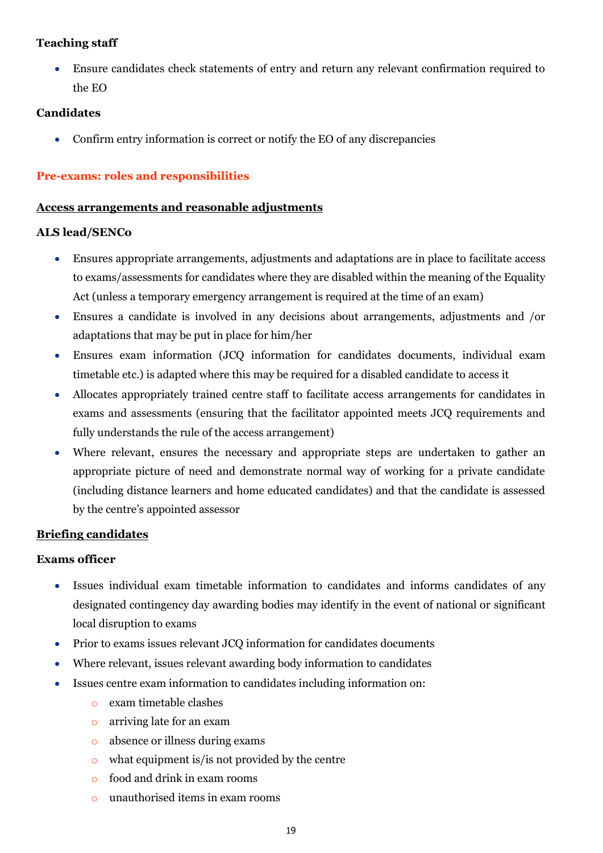# **Teaching staff**

• Ensure candidates check statements of entry and return any relevant confirmation required to the EO

## **Candidates**

• Confirm entry information is correct or notify the EO of any discrepancies

## <span id="page-18-0"></span>**Pre-exams: roles and responsibilities**

#### <span id="page-18-1"></span>**Access arrangements and reasonable adjustments**

#### **ALS lead/SENCo**

- Ensures appropriate arrangements, adjustments and adaptations are in place to facilitate access to exams/assessments for candidates where they are disabled within the meaning of the Equality Act (unless a temporary emergency arrangement is required at the time of an exam)
- Ensures a candidate is involved in any decisions about arrangements, adjustments and /or adaptations that may be put in place for him/her
- Ensures exam information (JCQ information for candidates documents, individual exam timetable etc.) is adapted where this may be required for a disabled candidate to access it
- Allocates appropriately trained centre staff to facilitate access arrangements for candidates in exams and assessments (ensuring that the facilitator appointed meets JCQ requirements and fully understands the rule of the access arrangement)
- Where relevant, ensures the necessary and appropriate steps are undertaken to gather an appropriate picture of need and demonstrate normal way of working for a private candidate (including distance learners and home educated candidates) and that the candidate is assessed by the centre's appointed assessor

#### <span id="page-18-2"></span>**Briefing candidates**

- Issues individual exam timetable information to candidates and informs candidates of any designated contingency day awarding bodies may identify in the event of national or significant local disruption to exams
- Prior to exams issues relevant JCQ information for candidates documents
- Where relevant, issues relevant awarding body information to candidates
- Issues centre exam information to candidates including information on:
	- o exam timetable clashes
	- o arriving late for an exam
	- o absence or illness during exams
	- $\circ$  what equipment is/is not provided by the centre
	- o food and drink in exam rooms
	- o unauthorised items in exam rooms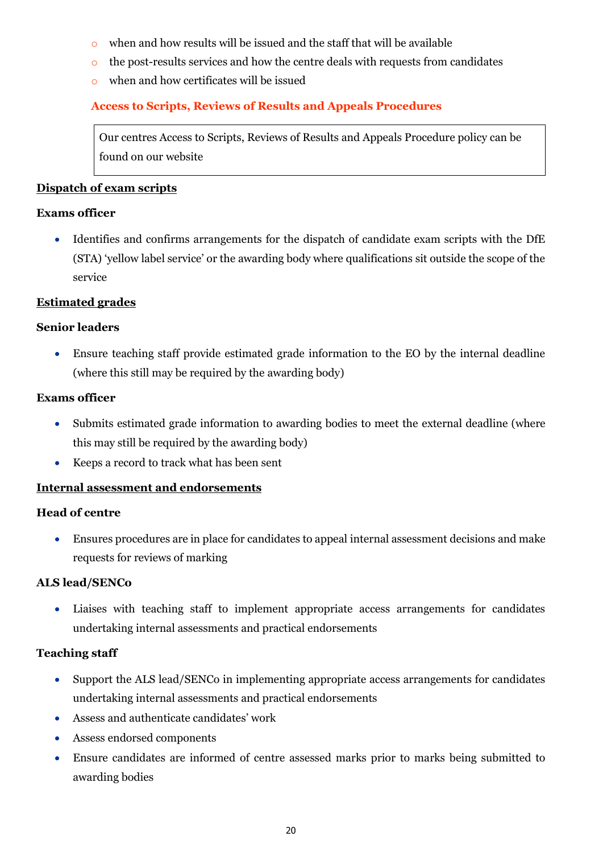- o when and how results will be issued and the staff that will be available
- o the post-results services and how the centre deals with requests from candidates
- o when and how certificates will be issued

# <span id="page-19-0"></span>**Access to Scripts, Reviews of Results and Appeals Procedures**

Our centres Access to Scripts, Reviews of Results and Appeals Procedure policy can be found on our website

## <span id="page-19-1"></span>**Dispatch of exam scripts**

## **Exams officer**

• Identifies and confirms arrangements for the dispatch of candidate exam scripts with the DfE (STA) 'yellow label service' or the awarding body where qualifications sit outside the scope of the service

## <span id="page-19-2"></span>**Estimated grades**

## **Senior leaders**

• Ensure teaching staff provide estimated grade information to the EO by the internal deadline (where this still may be required by the awarding body)

## **Exams officer**

- Submits estimated grade information to awarding bodies to meet the external deadline (where this may still be required by the awarding body)
- Keeps a record to track what has been sent

# <span id="page-19-3"></span>**Internal assessment and endorsements**

# **Head of centre**

• Ensures procedures are in place for candidates to appeal internal assessment decisions and make requests for reviews of marking

# **ALS lead/SENCo**

• Liaises with teaching staff to implement appropriate access arrangements for candidates undertaking internal assessments and practical endorsements

#### **Teaching staff**

- Support the ALS lead/SENCo in implementing appropriate access arrangements for candidates undertaking internal assessments and practical endorsements
- Assess and authenticate candidates' work
- Assess endorsed components
- Ensure candidates are informed of centre assessed marks prior to marks being submitted to awarding bodies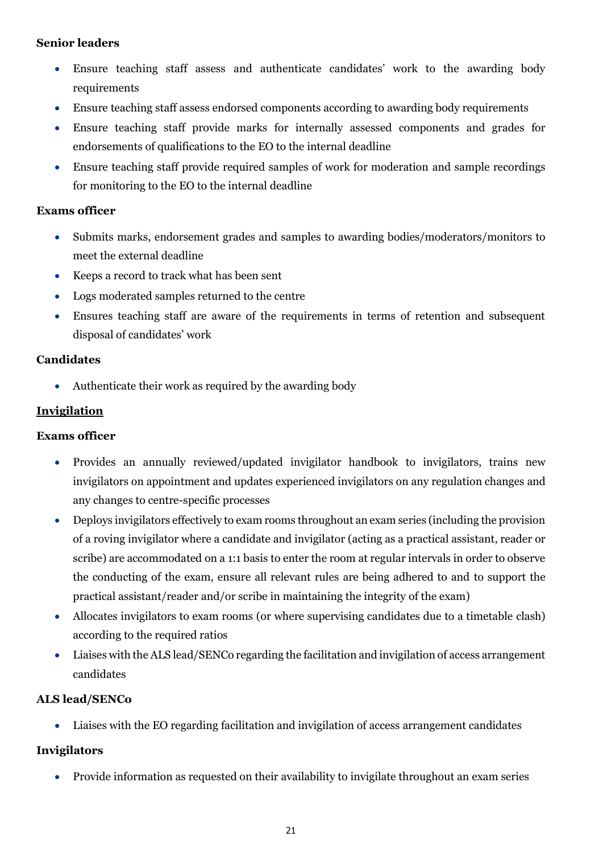# **Senior leaders**

- Ensure teaching staff assess and authenticate candidates' work to the awarding body requirements
- Ensure teaching staff assess endorsed components according to awarding body requirements
- Ensure teaching staff provide marks for internally assessed components and grades for endorsements of qualifications to the EO to the internal deadline
- Ensure teaching staff provide required samples of work for moderation and sample recordings for monitoring to the EO to the internal deadline

# **Exams officer**

- Submits marks, endorsement grades and samples to awarding bodies/moderators/monitors to meet the external deadline
- Keeps a record to track what has been sent
- Logs moderated samples returned to the centre
- Ensures teaching staff are aware of the requirements in terms of retention and subsequent disposal of candidates' work

# **Candidates**

• Authenticate their work as required by the awarding body

# <span id="page-20-0"></span>**Invigilation**

# **Exams officer**

- Provides an annually reviewed/updated invigilator handbook to invigilators, trains new invigilators on appointment and updates experienced invigilators on any regulation changes and any changes to centre-specific processes
- Deploys invigilators effectively to exam rooms throughout an exam series (including the provision of a roving invigilator where a candidate and invigilator (acting as a practical assistant, reader or scribe) are accommodated on a 1:1 basis to enter the room at regular intervals in order to observe the conducting of the exam, ensure all relevant rules are being adhered to and to support the practical assistant/reader and/or scribe in maintaining the integrity of the exam)
- Allocates invigilators to exam rooms (or where supervising candidates due to a timetable clash) according to the required ratios
- Liaises with the ALS lead/SENCo regarding the facilitation and invigilation of access arrangement candidates

# **ALS lead/SENCo**

• Liaises with the EO regarding facilitation and invigilation of access arrangement candidates

# **Invigilators**

• Provide information as requested on their availability to invigilate throughout an exam series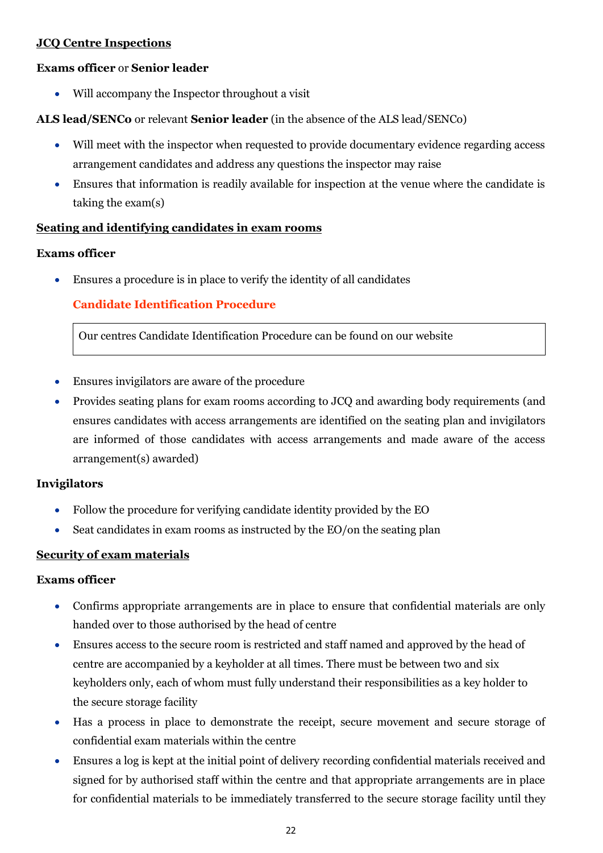# <span id="page-21-0"></span>**JCQ Centre Inspections**

#### **Exams officer** or **Senior leader**

Will accompany the Inspector throughout a visit

## **ALS lead/SENCo** or relevant **Senior leader** (in the absence of the ALS lead/SENCo)

- Will meet with the inspector when requested to provide documentary evidence regarding access arrangement candidates and address any questions the inspector may raise
- Ensures that information is readily available for inspection at the venue where the candidate is taking the exam(s)

## <span id="page-21-1"></span>**Seating and identifying candidates in exam rooms**

#### **Exams officer**

<span id="page-21-2"></span>• Ensures a procedure is in place to verify the identity of all candidates

# **Candidate Identification Procedure**

Our centres Candidate Identification Procedure can be found on our website

- Ensures invigilators are aware of the procedure
- Provides seating plans for exam rooms according to JCQ and awarding body requirements (and ensures candidates with access arrangements are identified on the seating plan and invigilators are informed of those candidates with access arrangements and made aware of the access arrangement(s) awarded)

#### **Invigilators**

- Follow the procedure for verifying candidate identity provided by the EO
- Seat candidates in exam rooms as instructed by the EO/on the seating plan

## <span id="page-21-3"></span>**Security of exam materials**

- Confirms appropriate arrangements are in place to ensure that confidential materials are only handed over to those authorised by the head of centre
- Ensures access to the secure room is restricted and staff named and approved by the head of centre are accompanied by a keyholder at all times. There must be between two and six keyholders only, each of whom must fully understand their responsibilities as a key holder to the secure storage facility
- Has a process in place to demonstrate the receipt, secure movement and secure storage of confidential exam materials within the centre
- Ensures a log is kept at the initial point of delivery recording confidential materials received and signed for by authorised staff within the centre and that appropriate arrangements are in place for confidential materials to be immediately transferred to the secure storage facility until they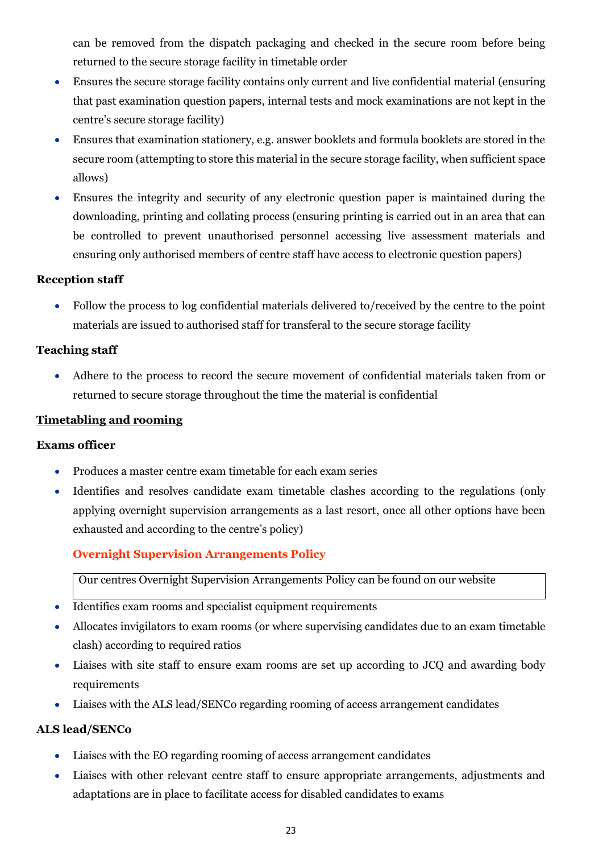can be removed from the dispatch packaging and checked in the secure room before being returned to the secure storage facility in timetable order

- Ensures the secure storage facility contains only current and live confidential material (ensuring that past examination question papers, internal tests and mock examinations are not kept in the centre's secure storage facility)
- Ensures that examination stationery, e.g. answer booklets and formula booklets are stored in the secure room (attempting to store this material in the secure storage facility, when sufficient space allows)
- Ensures the integrity and security of any electronic question paper is maintained during the downloading, printing and collating process (ensuring printing is carried out in an area that can be controlled to prevent unauthorised personnel accessing live assessment materials and ensuring only authorised members of centre staff have access to electronic question papers)

# **Reception staff**

• Follow the process to log confidential materials delivered to/received by the centre to the point materials are issued to authorised staff for transferal to the secure storage facility

# **Teaching staff**

• Adhere to the process to record the secure movement of confidential materials taken from or returned to secure storage throughout the time the material is confidential

# <span id="page-22-0"></span>**Timetabling and rooming**

# **Exams officer**

- Produces a master centre exam timetable for each exam series
- Identifies and resolves candidate exam timetable clashes according to the regulations (only applying overnight supervision arrangements as a last resort, once all other options have been exhausted and according to the centre's policy)

# <span id="page-22-1"></span>**Overnight Supervision Arrangements Policy**

Our centres Overnight Supervision Arrangements Policy can be found on our website

- Identifies exam rooms and specialist equipment requirements
- Allocates invigilators to exam rooms (or where supervising candidates due to an exam timetable clash) according to required ratios
- Liaises with site staff to ensure exam rooms are set up according to JCQ and awarding body requirements
- Liaises with the ALS lead/SENCo regarding rooming of access arrangement candidates

# **ALS lead/SENCo**

- Liaises with the EO regarding rooming of access arrangement candidates
- Liaises with other relevant centre staff to ensure appropriate arrangements, adjustments and adaptations are in place to facilitate access for disabled candidates to exams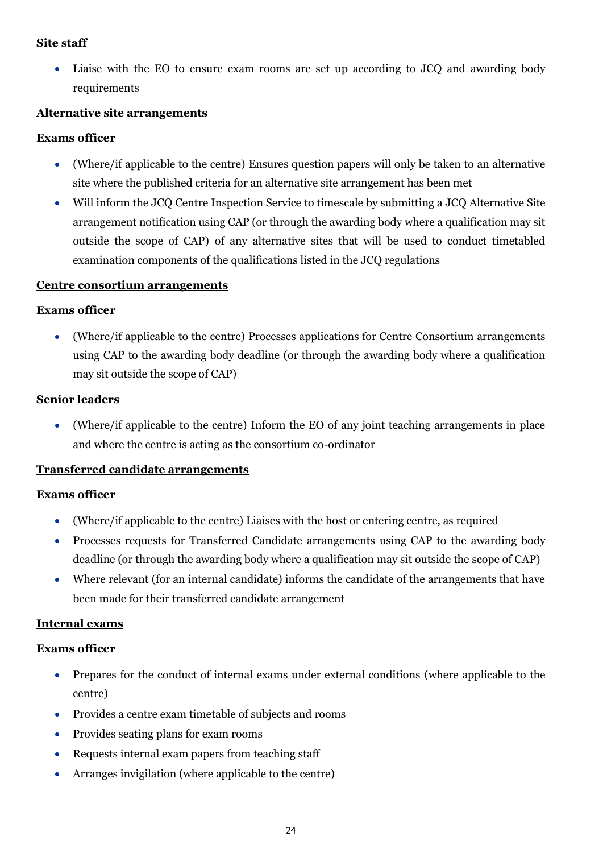## **Site staff**

• Liaise with the EO to ensure exam rooms are set up according to JCQ and awarding body requirements

## <span id="page-23-0"></span>**Alternative site arrangements**

## **Exams officer**

- (Where/if applicable to the centre) Ensures question papers will only be taken to an alternative site where the published criteria for an alternative site arrangement has been met
- Will inform the JCQ Centre Inspection Service to timescale by submitting a JCQ Alternative Site arrangement notification using CAP (or through the awarding body where a qualification may sit outside the scope of CAP) of any alternative sites that will be used to conduct timetabled examination components of the qualifications listed in the JCQ regulations

# <span id="page-23-1"></span>**Centre consortium arrangements**

#### **Exams officer**

• (Where/if applicable to the centre) Processes applications for Centre Consortium arrangements using CAP to the awarding body deadline (or through the awarding body where a qualification may sit outside the scope of CAP)

#### **Senior leaders**

• (Where/if applicable to the centre) Inform the EO of any joint teaching arrangements in place and where the centre is acting as the consortium co-ordinator

#### <span id="page-23-2"></span>**Transferred candidate arrangements**

#### **Exams officer**

- (Where/if applicable to the centre) Liaises with the host or entering centre, as required
- Processes requests for Transferred Candidate arrangements using CAP to the awarding body deadline (or through the awarding body where a qualification may sit outside the scope of CAP)
- Where relevant (for an internal candidate) informs the candidate of the arrangements that have been made for their transferred candidate arrangement

#### <span id="page-23-3"></span>**Internal exams**

- Prepares for the conduct of internal exams under external conditions (where applicable to the centre)
- Provides a centre exam timetable of subjects and rooms
- Provides seating plans for exam rooms
- Requests internal exam papers from teaching staff
- Arranges invigilation (where applicable to the centre)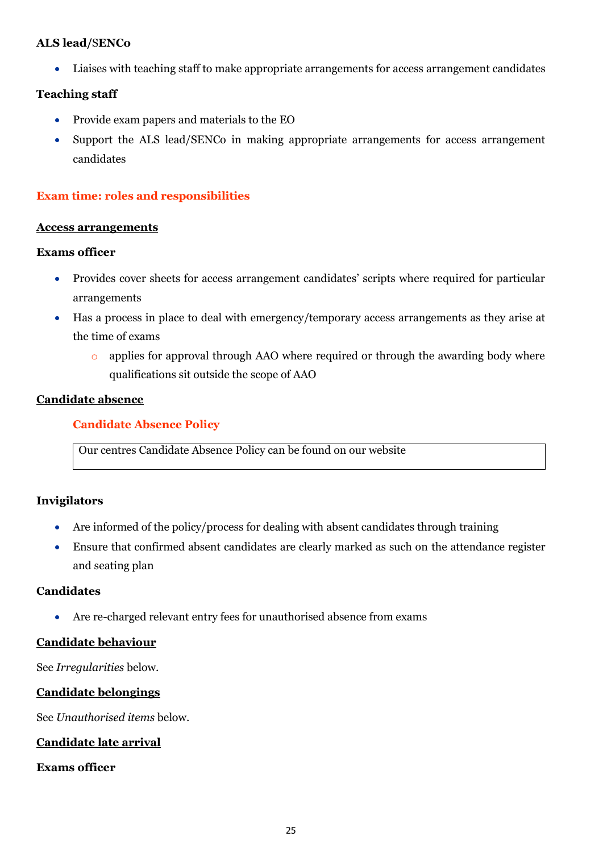# **ALS lead/**S**ENCo**

• Liaises with teaching staff to make appropriate arrangements for access arrangement candidates

# **Teaching staff**

- Provide exam papers and materials to the EO
- Support the ALS lead/SENCo in making appropriate arrangements for access arrangement candidates

# <span id="page-24-0"></span>**Exam time: roles and responsibilities**

#### <span id="page-24-1"></span>**Access arrangements**

## **Exams officer**

- Provides cover sheets for access arrangement candidates' scripts where required for particular arrangements
- Has a process in place to deal with emergency/temporary access arrangements as they arise at the time of exams
	- o applies for approval through AAO where required or through the awarding body where qualifications sit outside the scope of AAO

# <span id="page-24-3"></span><span id="page-24-2"></span>**Candidate absence**

# **Candidate Absence Policy**

Our centres Candidate Absence Policy can be found on our website

# **Invigilators**

- Are informed of the policy/process for dealing with absent candidates through training
- Ensure that confirmed absent candidates are clearly marked as such on the attendance register and seating plan

# **Candidates**

• Are re-charged relevant entry fees for unauthorised absence from exams

# <span id="page-24-4"></span>**Candidate behaviour**

See *Irregularities* below.

# <span id="page-24-5"></span>**Candidate belongings**

See *Unauthorised items* below.

# <span id="page-24-6"></span>**Candidate late arrival**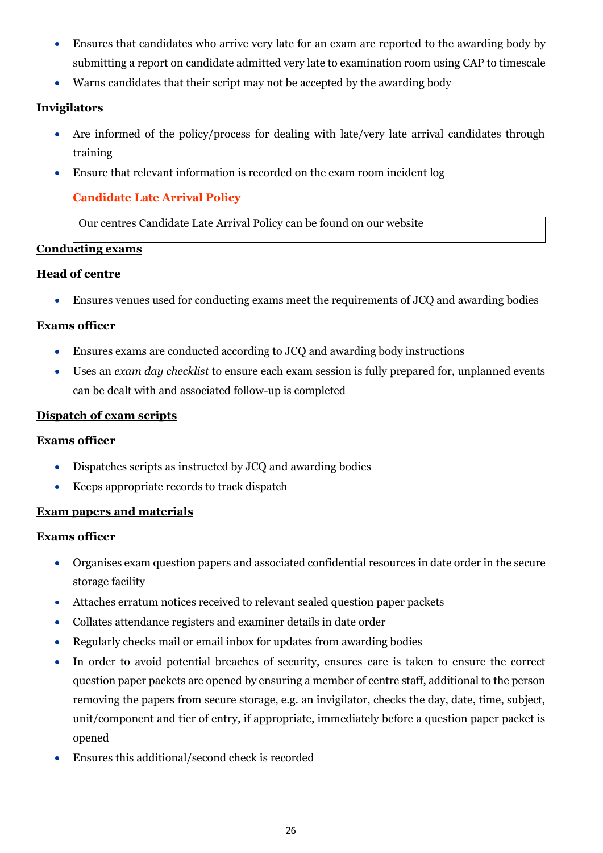- Ensures that candidates who arrive very late for an exam are reported to the awarding body by submitting a report on candidate admitted very late to examination room using CAP to timescale
- Warns candidates that their script may not be accepted by the awarding body

# **Invigilators**

- Are informed of the policy/process for dealing with late/very late arrival candidates through training
- <span id="page-25-0"></span>• Ensure that relevant information is recorded on the exam room incident log

# **Candidate Late Arrival Policy**

Our centres Candidate Late Arrival Policy can be found on our website

# <span id="page-25-1"></span>**Conducting exams**

# **Head of centre**

• Ensures venues used for conducting exams meet the requirements of JCQ and awarding bodies

# **Exams officer**

- Ensures exams are conducted according to JCQ and awarding body instructions
- Uses an *exam day checklist* to ensure each exam session is fully prepared for, unplanned events can be dealt with and associated follow-up is completed

# <span id="page-25-2"></span>**Dispatch of exam scripts**

# **Exams officer**

- Dispatches scripts as instructed by JCQ and awarding bodies
- Keeps appropriate records to track dispatch

# <span id="page-25-3"></span>**Exam papers and materials**

- Organises exam question papers and associated confidential resources in date order in the secure storage facility
- Attaches erratum notices received to relevant sealed question paper packets
- Collates attendance registers and examiner details in date order
- Regularly checks mail or email inbox for updates from awarding bodies
- In order to avoid potential breaches of security, ensures care is taken to ensure the correct question paper packets are opened by ensuring a member of centre staff, additional to the person removing the papers from secure storage, e.g. an invigilator, checks the day, date, time, subject, unit/component and tier of entry, if appropriate, immediately before a question paper packet is opened
- Ensures this additional/second check is recorded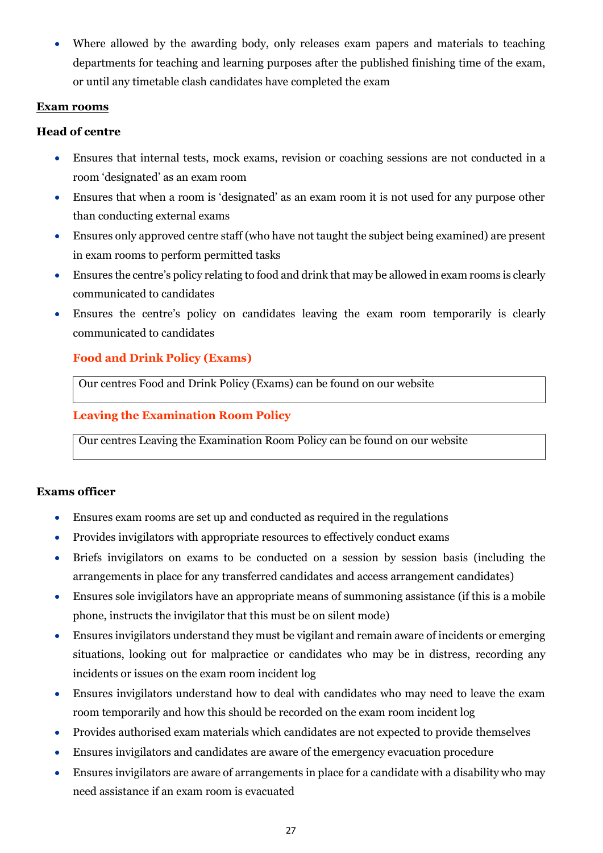• Where allowed by the awarding body, only releases exam papers and materials to teaching departments for teaching and learning purposes after the published finishing time of the exam, or until any timetable clash candidates have completed the exam

## <span id="page-26-0"></span>**Exam rooms**

## **Head of centre**

- Ensures that internal tests, mock exams, revision or coaching sessions are not conducted in a room 'designated' as an exam room
- Ensures that when a room is 'designated' as an exam room it is not used for any purpose other than conducting external exams
- Ensures only approved centre staff (who have not taught the subject being examined) are present in exam rooms to perform permitted tasks
- Ensures the centre's policy relating to food and drink that may be allowed in exam rooms is clearly communicated to candidates
- Ensures the centre's policy on candidates leaving the exam room temporarily is clearly communicated to candidates

# <span id="page-26-1"></span>**Food and Drink Policy (Exams)**

Our centres Food and Drink Policy (Exams) can be found on our website

# <span id="page-26-2"></span>**Leaving the Examination Room Policy**

Our centres Leaving the Examination Room Policy can be found on our website

- Ensures exam rooms are set up and conducted as required in the regulations
- Provides invigilators with appropriate resources to effectively conduct exams
- Briefs invigilators on exams to be conducted on a session by session basis (including the arrangements in place for any transferred candidates and access arrangement candidates)
- Ensures sole invigilators have an appropriate means of summoning assistance (if this is a mobile phone, instructs the invigilator that this must be on silent mode)
- Ensures invigilators understand they must be vigilant and remain aware of incidents or emerging situations, looking out for malpractice or candidates who may be in distress, recording any incidents or issues on the exam room incident log
- Ensures invigilators understand how to deal with candidates who may need to leave the exam room temporarily and how this should be recorded on the exam room incident log
- Provides authorised exam materials which candidates are not expected to provide themselves
- Ensures invigilators and candidates are aware of the emergency evacuation procedure
- Ensures invigilators are aware of arrangements in place for a candidate with a disability who may need assistance if an exam room is evacuated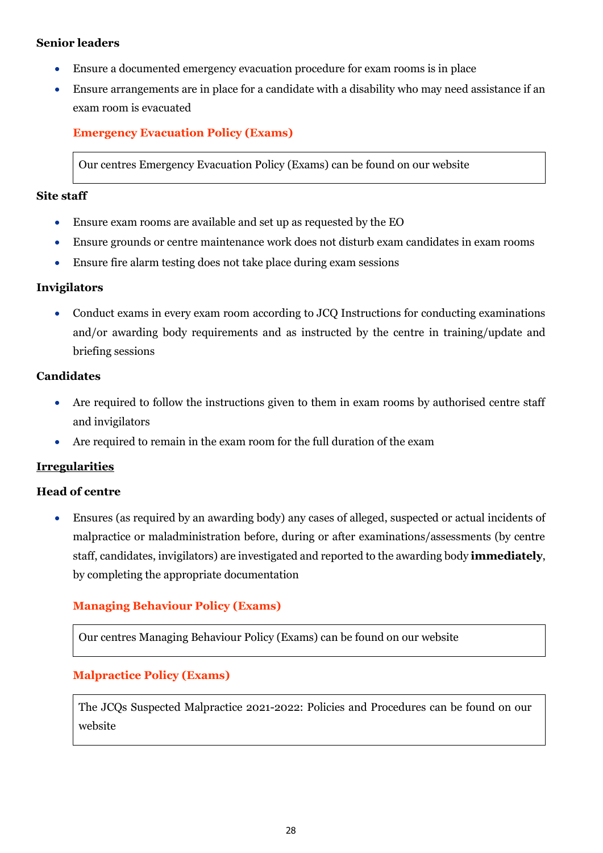# **Senior leaders**

- Ensure a documented emergency evacuation procedure for exam rooms is in place
- Ensure arrangements are in place for a candidate with a disability who may need assistance if an exam room is evacuated

# <span id="page-27-0"></span>**Emergency Evacuation Policy (Exams)**

Our centres Emergency Evacuation Policy (Exams) can be found on our website

#### **Site staff**

- Ensure exam rooms are available and set up as requested by the EO
- Ensure grounds or centre maintenance work does not disturb exam candidates in exam rooms
- Ensure fire alarm testing does not take place during exam sessions

#### **Invigilators**

• Conduct exams in every exam room according to JCQ Instructions for conducting examinations and/or awarding body requirements and as instructed by the centre in training/update and briefing sessions

## **Candidates**

- Are required to follow the instructions given to them in exam rooms by authorised centre staff and invigilators
- Are required to remain in the exam room for the full duration of the exam

# <span id="page-27-1"></span>**Irregularities**

#### **Head of centre**

• Ensures (as required by an awarding body) any cases of alleged, suspected or actual incidents of malpractice or maladministration before, during or after examinations/assessments (by centre staff, candidates, invigilators) are investigated and reported to the awarding body **immediately**, by completing the appropriate documentation

# <span id="page-27-2"></span>**Managing Behaviour Policy (Exams)**

Our centres Managing Behaviour Policy (Exams) can be found on our website

# <span id="page-27-3"></span>**Malpractice Policy (Exams)**

The JCQs Suspected Malpractice 2021-2022: Policies and Procedures can be found on our website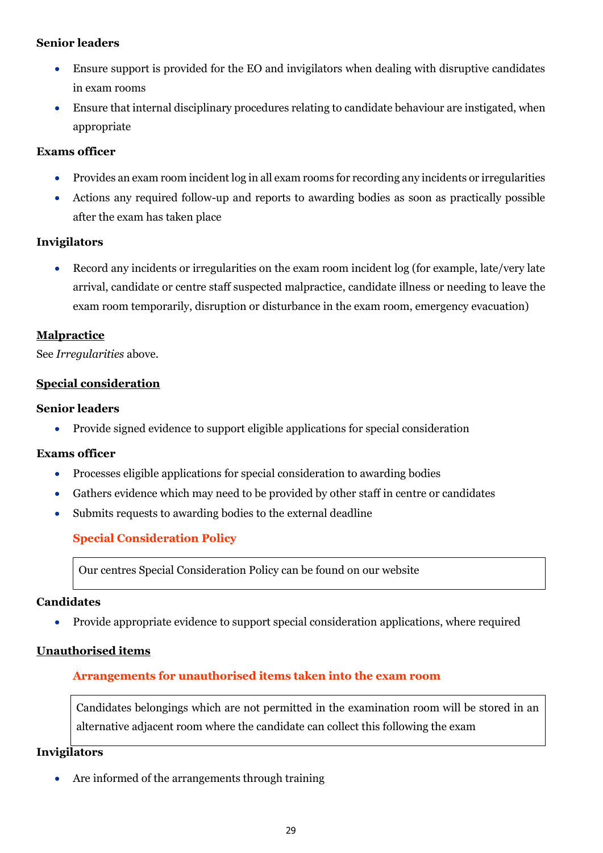# **Senior leaders**

- Ensure support is provided for the EO and invigilators when dealing with disruptive candidates in exam rooms
- Ensure that internal disciplinary procedures relating to candidate behaviour are instigated, when appropriate

# **Exams officer**

- Provides an exam room incident log in all exam rooms for recording any incidents or irregularities
- Actions any required follow-up and reports to awarding bodies as soon as practically possible after the exam has taken place

# **Invigilators**

• Record any incidents or irregularities on the exam room incident log (for example, late/very late arrival, candidate or centre staff suspected malpractice, candidate illness or needing to leave the exam room temporarily, disruption or disturbance in the exam room, emergency evacuation)

# <span id="page-28-0"></span>**Malpractice**

See *Irregularities* above.

# <span id="page-28-1"></span>**Special consideration**

# **Senior leaders**

• Provide signed evidence to support eligible applications for special consideration

# **Exams officer**

- Processes eligible applications for special consideration to awarding bodies
- Gathers evidence which may need to be provided by other staff in centre or candidates
- <span id="page-28-2"></span>• Submits requests to awarding bodies to the external deadline

# **Special Consideration Policy**

Our centres Special Consideration Policy can be found on our website

# **Candidates**

• Provide appropriate evidence to support special consideration applications, where required

# <span id="page-28-4"></span><span id="page-28-3"></span>**Unauthorised items**

# **Arrangements for unauthorised items taken into the exam room**

Candidates belongings which are not permitted in the examination room will be stored in an alternative adjacent room where the candidate can collect this following the exam

# **Invigilators**

Are informed of the arrangements through training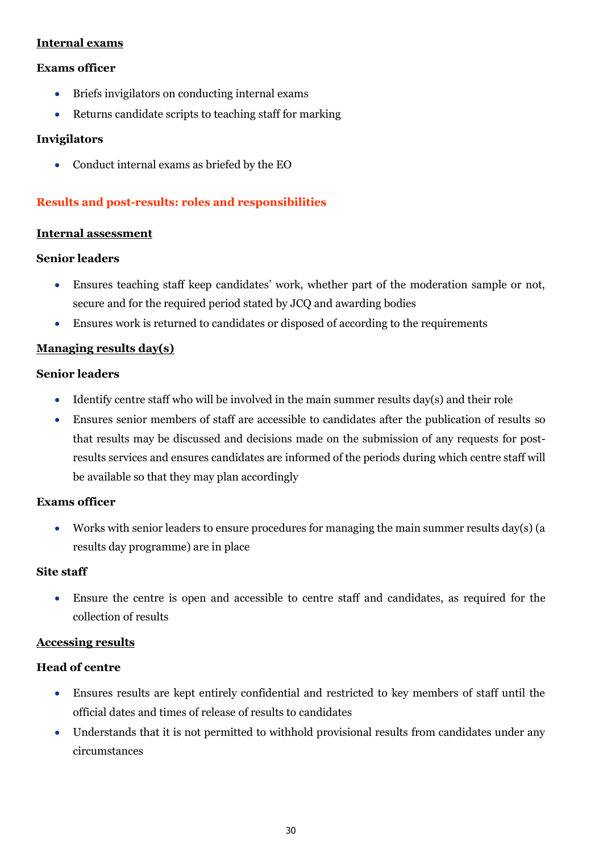# <span id="page-29-0"></span>**Internal exams**

## **Exams officer**

- Briefs invigilators on conducting internal exams
- Returns candidate scripts to teaching staff for marking

#### **Invigilators**

• Conduct internal exams as briefed by the EO

# <span id="page-29-1"></span>**Results and post-results: roles and responsibilities**

#### <span id="page-29-2"></span>**Internal assessment**

## **Senior leaders**

- Ensures teaching staff keep candidates' work, whether part of the moderation sample or not, secure and for the required period stated by JCQ and awarding bodies
- Ensures work is returned to candidates or disposed of according to the requirements

## <span id="page-29-3"></span>**Managing results day(s)**

## **Senior leaders**

- Identify centre staff who will be involved in the main summer results day(s) and their role
- Ensures senior members of staff are accessible to candidates after the publication of results so that results may be discussed and decisions made on the submission of any requests for postresults services and ensures candidates are informed of the periods during which centre staff will be available so that they may plan accordingly

#### **Exams officer**

• Works with senior leaders to ensure procedures for managing the main summer results day(s) (a results day programme) are in place

## **Site staff**

• Ensure the centre is open and accessible to centre staff and candidates, as required for the collection of results

#### <span id="page-29-4"></span>**Accessing results**

# **Head of centre**

- Ensures results are kept entirely confidential and restricted to key members of staff until the official dates and times of release of results to candidates
- Understands that it is not permitted to withhold provisional results from candidates under any circumstances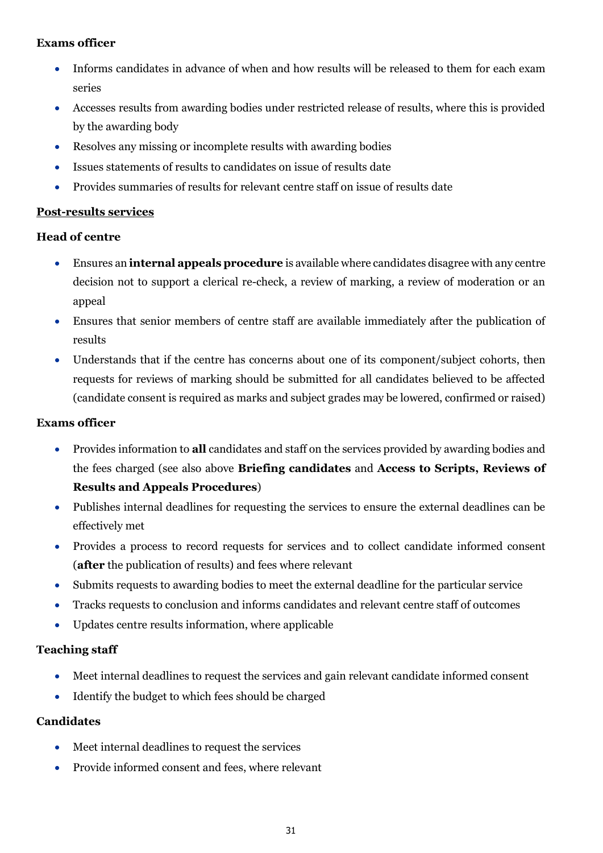# **Exams officer**

- Informs candidates in advance of when and how results will be released to them for each exam series
- Accesses results from awarding bodies under restricted release of results, where this is provided by the awarding body
- Resolves any missing or incomplete results with awarding bodies
- Issues statements of results to candidates on issue of results date
- Provides summaries of results for relevant centre staff on issue of results date

# <span id="page-30-0"></span>**Post-results services**

# **Head of centre**

- Ensures an **internal appeals procedure** is available where candidates disagree with any centre decision not to support a clerical re-check, a review of marking, a review of moderation or an appeal
- Ensures that senior members of centre staff are available immediately after the publication of results
- Understands that if the centre has concerns about one of its component/subject cohorts, then requests for reviews of marking should be submitted for all candidates believed to be affected (candidate consent is required as marks and subject grades may be lowered, confirmed or raised)

## **Exams officer**

- Provides information to **all** candidates and staff on the services provided by awarding bodies and the fees charged (see also above **Briefing candidates** and **Access to Scripts, Reviews of Results and Appeals Procedures**)
- Publishes internal deadlines for requesting the services to ensure the external deadlines can be effectively met
- Provides a process to record requests for services and to collect candidate informed consent (**after** the publication of results) and fees where relevant
- Submits requests to awarding bodies to meet the external deadline for the particular service
- Tracks requests to conclusion and informs candidates and relevant centre staff of outcomes
- Updates centre results information, where applicable

# **Teaching staff**

- Meet internal deadlines to request the services and gain relevant candidate informed consent
- Identify the budget to which fees should be charged

# **Candidates**

- Meet internal deadlines to request the services
- Provide informed consent and fees, where relevant